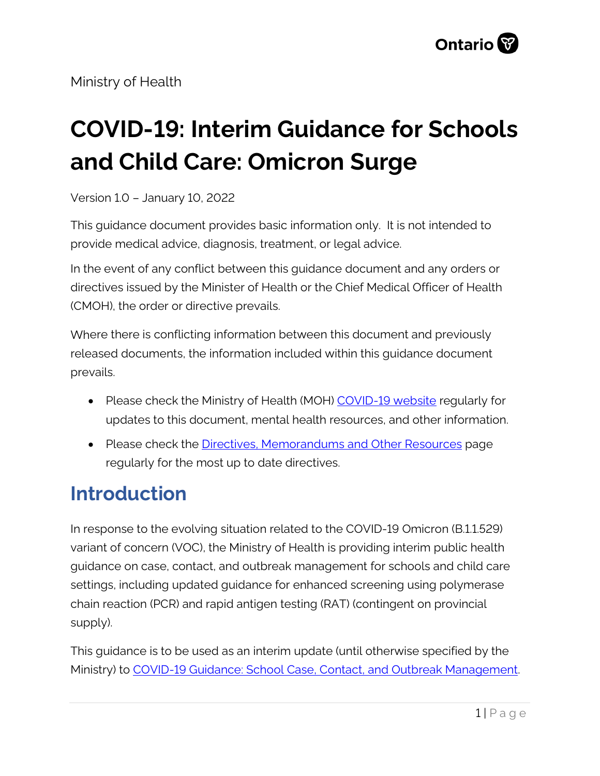Ministry of Health

# **COVID-19: Interim Guidance for Schools and Child Care: Omicron Surge**

Version 1.0 – January 10, 2022

This guidance document provides basic information only. It is not intended to provide medical advice, diagnosis, treatment, or legal advice.

In the event of any conflict between this guidance document and any orders or directives issued by the Minister of Health or the Chief Medical Officer of Health (CMOH), the order or directive prevails.

Where there is conflicting information between this document and previously released documents, the information included within this guidance document prevails.

- Please check the Ministry of Health (MOH) [COVID-19 website](http://www.health.gov.on.ca/en/pro/programs/publichealth/coronavirus/2019_guidance.aspx) regularly for updates to this document, mental health resources, and other information.
- Please check the [Directives, Memorandums and Other Resources](http://www.health.gov.on.ca/en/pro/programs/publichealth/coronavirus/dir_mem_res.aspx) page regularly for the most up to date directives.

## **Introduction**

In response to the evolving situation related to the COVID-19 Omicron (B.1.1.529) variant of concern (VOC), the Ministry of Health is providing interim public health guidance on case, contact, and outbreak management for schools and child care settings, including updated guidance for enhanced screening using polymerase chain reaction (PCR) and rapid antigen testing (RAT) (contingent on provincial supply).

This guidance is to be used as an interim update (until otherwise specified by the Ministry) to [COVID-19 Guidance: School Case, Contact, and Outbreak Management.](https://www.health.gov.on.ca/en/pro/programs/publichealth/coronavirus/docs/COVID-19_school_outbreak_guidance.pdf)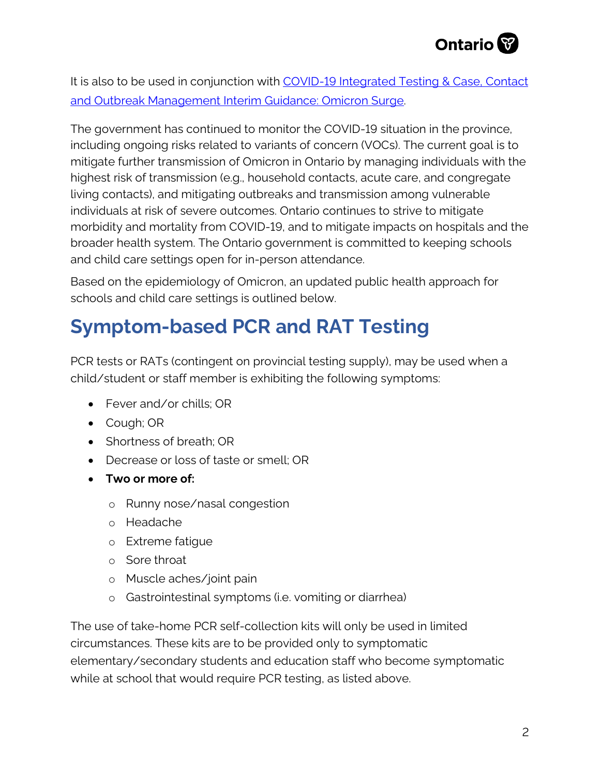

It is also to be used in conjunction with COVID-19 Integrated Testing & Case, Contact [and Outbreak Management Interim Guidance: Omicron Surge.](https://www.health.gov.on.ca/en/pro/programs/publichealth/coronavirus/docs/contact_mngmt/management_cases_contacts_omicron.pdf)

The government has continued to monitor the COVID-19 situation in the province, including ongoing risks related to variants of concern (VOCs). The current goal is to mitigate further transmission of Omicron in Ontario by managing individuals with the highest risk of transmission (e.g., household contacts, acute care, and congregate living contacts), and mitigating outbreaks and transmission among vulnerable individuals at risk of severe outcomes. Ontario continues to strive to mitigate morbidity and mortality from COVID-19, and to mitigate impacts on hospitals and the broader health system. The Ontario government is committed to keeping schools and child care settings open for in-person attendance.

Based on the epidemiology of Omicron, an updated public health approach for schools and child care settings is outlined below.

## **Symptom-based PCR and RAT Testing**

PCR tests or RATs (contingent on provincial testing supply), may be used when a child/student or staff member is exhibiting the following symptoms:

- Fever and/or chills: OR
- Cough; OR
- Shortness of breath; OR
- Decrease or loss of taste or smell; OR
- **Two or more of:**
	- o Runny nose/nasal congestion
	- o Headache
	- o Extreme fatigue
	- o Sore throat
	- o Muscle aches/joint pain
	- o Gastrointestinal symptoms (i.e. vomiting or diarrhea)

The use of take-home PCR self-collection kits will only be used in limited circumstances. These kits are to be provided only to symptomatic elementary/secondary students and education staff who become symptomatic while at school that would require PCR testing, as listed above.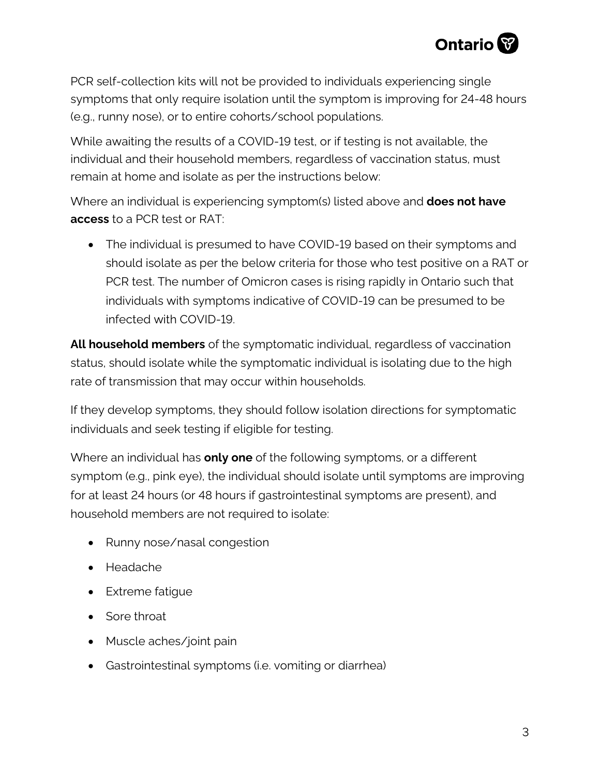

PCR self-collection kits will not be provided to individuals experiencing single symptoms that only require isolation until the symptom is improving for 24-48 hours (e.g., runny nose), or to entire cohorts/school populations.

While awaiting the results of a COVID-19 test, or if testing is not available, the individual and their household members, regardless of vaccination status, must remain at home and isolate as per the instructions below:

Where an individual is experiencing symptom(s) listed above and **does not have access** to a PCR test or RAT:

• The individual is presumed to have COVID-19 based on their symptoms and should isolate as per the below criteria for those who test positive on a RAT or PCR test. The number of Omicron cases is rising rapidly in Ontario such that individuals with symptoms indicative of COVID-19 can be presumed to be infected with COVID-19.

**All household members** of the symptomatic individual, regardless of vaccination status, should isolate while the symptomatic individual is isolating due to the high rate of transmission that may occur within households.

If they develop symptoms, they should follow isolation directions for symptomatic individuals and seek testing if eligible for testing.

Where an individual has **only one** of the following symptoms, or a different symptom (e.g., pink eye), the individual should isolate until symptoms are improving for at least 24 hours (or 48 hours if gastrointestinal symptoms are present), and household members are not required to isolate:

- Runny nose/nasal congestion
- Headache
- Extreme fatigue
- Sore throat
- Muscle aches/joint pain
- Gastrointestinal symptoms (i.e. vomiting or diarrhea)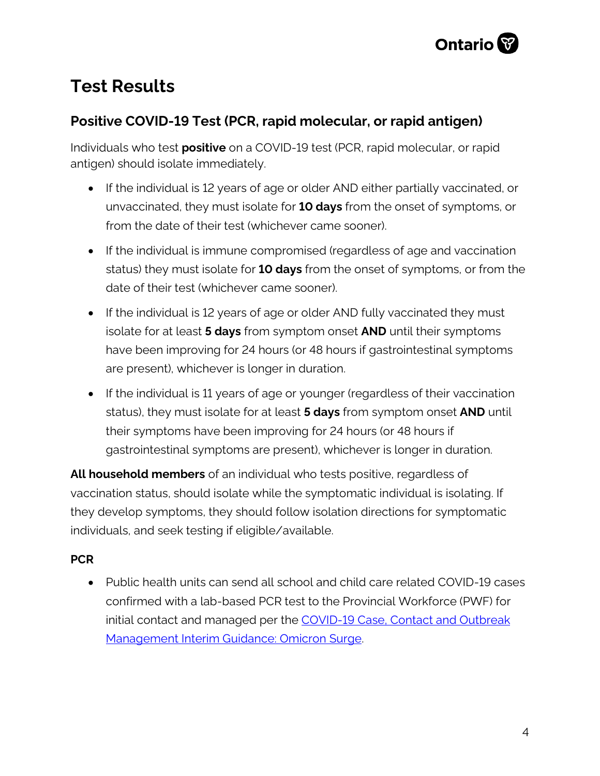

## **Test Results**

#### **Positive COVID-19 Test (PCR, rapid molecular, or rapid antigen)**

Individuals who test **positive** on a COVID-19 test (PCR, rapid molecular, or rapid antigen) should isolate immediately.

- If the individual is 12 years of age or older AND either partially vaccinated, or unvaccinated, they must isolate for **10 days** from the onset of symptoms, or from the date of their test (whichever came sooner).
- If the individual is immune compromised (regardless of age and vaccination status) they must isolate for **10 days** from the onset of symptoms, or from the date of their test (whichever came sooner).
- If the individual is 12 years of age or older AND fully vaccinated they must isolate for at least **5 days** from symptom onset **AND** until their symptoms have been improving for 24 hours (or 48 hours if gastrointestinal symptoms are present), whichever is longer in duration.
- If the individual is 11 years of age or younger (regardless of their vaccination status), they must isolate for at least **5 days** from symptom onset **AND** until their symptoms have been improving for 24 hours (or 48 hours if gastrointestinal symptoms are present), whichever is longer in duration.

**All household members** of an individual who tests positive, regardless of vaccination status, should isolate while the symptomatic individual is isolating. If they develop symptoms, they should follow isolation directions for symptomatic individuals, and seek testing if eligible/available.

#### **PCR**

• Public health units can send all school and child care related COVID-19 cases confirmed with a lab-based PCR test to the Provincial Workforce (PWF) for initial contact and managed per the COVID-19 Case, Contact and Outbreak [Management Interim Guidance: Omicron Surge.](https://www.health.gov.on.ca/en/pro/programs/publichealth/coronavirus/docs/contact_mngmt/management_cases_contacts_omicron.pdf)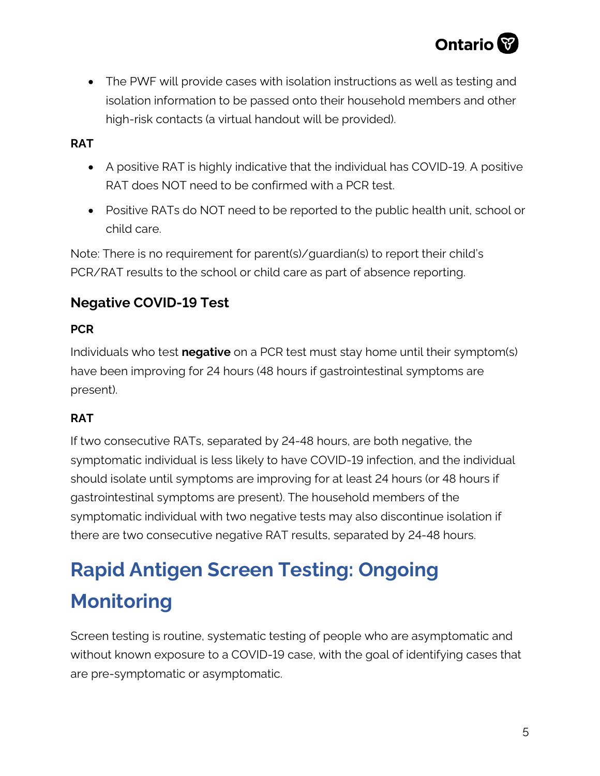

• The PWF will provide cases with isolation instructions as well as testing and isolation information to be passed onto their household members and other high-risk contacts (a virtual handout will be provided).

#### **RAT**

- A positive RAT is highly indicative that the individual has COVID-19. A positive RAT does NOT need to be confirmed with a PCR test.
- Positive RATs do NOT need to be reported to the public health unit, school or child care.

Note: There is no requirement for parent(s)/guardian(s) to report their child's PCR/RAT results to the school or child care as part of absence reporting.

#### **Negative COVID-19 Test**

#### **PCR**

Individuals who test **negative** on a PCR test must stay home until their symptom(s) have been improving for 24 hours (48 hours if gastrointestinal symptoms are present).

#### **RAT**

If two consecutive RATs, separated by 24-48 hours, are both negative, the symptomatic individual is less likely to have COVID-19 infection, and the individual should isolate until symptoms are improving for at least 24 hours (or 48 hours if gastrointestinal symptoms are present). The household members of the symptomatic individual with two negative tests may also discontinue isolation if there are two consecutive negative RAT results, separated by 24-48 hours.

## **Rapid Antigen Screen Testing: Ongoing Monitoring**

Screen testing is routine, systematic testing of people who are asymptomatic and without known exposure to a COVID-19 case, with the goal of identifying cases that are pre-symptomatic or asymptomatic.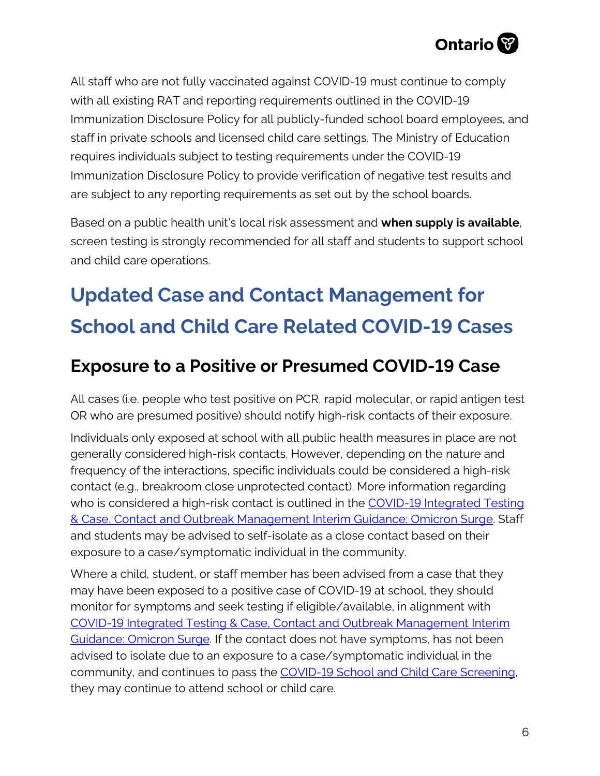

All staff who are not fully vaccinated against COVID-19 must continue to comply with all existing RAT and reporting requirements outlined in the COVID-19 Immunization Disclosure Policy for all publicly-funded school board employees, and staff in private schools and licensed child care settings. The Ministry of Education requires individuals subject to testing requirements under the COVID-19 Immunization Disclosure Policy to provide verification of negative test results and are subject to any reporting requirements as set out by the school boards.

Based on a public health unit's local risk assessment and **when supply is available**, screen testing is strongly recommended for all staff and students to support school and child care operations.

## **Updated Case and Contact Management for School and Child Care Related COVID-19 Cases**

### **Exposure to a Positive or Presumed COVID-19 Case**

All cases (i.e. people who test positive on PCR, rapid molecular, or rapid antigen test OR who are presumed positive) should notify high-risk contacts of their exposure.

Individuals only exposed at school with all public health measures in place are not generally considered high-risk contacts. However, depending on the nature and frequency of the interactions, specific individuals could be considered a high-risk contact (e.g., breakroom close unprotected contact). More information regarding who is considered a high-risk contact is outlined in the COVID-19 Integrated Testing [& Case, Contact and Outbreak Management Interim Guidance: Omicron Surge.](https://www.health.gov.on.ca/en/pro/programs/publichealth/coronavirus/docs/contact_mngmt/management_cases_contacts_omicron.pdf) Staff and students may be advised to self-isolate as a close contact based on their exposure to a case/symptomatic individual in the community.

Where a child, student, or staff member has been advised from a case that they may have been exposed to a positive case of COVID-19 at school, they should monitor for symptoms and seek testing if eligible/available, in alignment with [COVID-19 Integrated Testing & Case, Contact and Outbreak Management Interim](https://www.health.gov.on.ca/en/pro/programs/publichealth/coronavirus/docs/contact_mngmt/management_cases_contacts_omicron.pdf)  [Guidance: Omicron Surge.](https://www.health.gov.on.ca/en/pro/programs/publichealth/coronavirus/docs/contact_mngmt/management_cases_contacts_omicron.pdf) If the contact does not have symptoms, has not been advised to isolate due to an exposure to a case/symptomatic individual in the community, and continues to pass the **COVID-19 School and Child Care Screening**, they may continue to attend school or child care.